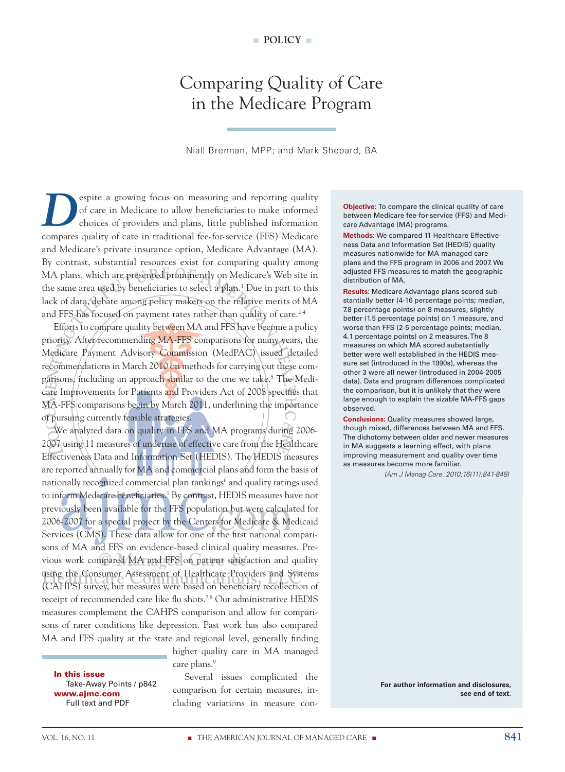# Comparing Quality of Care in the Medicare Program

Niall Brennan, MPP; and Mark Shepard, BA

espite a growing focus on measuring and reporting quality of care in Medicare to allow beneficiaries to make informed choices of providers and plans, little published information compares quality of care in traditional fee-for-service (FFS) Medicare and Medicare's private insurance option, Medicare Advantage (MA). By contrast, substantial resources exist for comparing quality *among*  MA plans, which are presented prominently on Medicare's Web site in the same area used by beneficiaries to select a plan.<sup>1</sup> Due in part to this lack of data, debate among policy makers on the relative merits of MA and FFS has focused on payment rates rather than quality of care.<sup>2-4</sup>

Efforts to compare quality between MA and FFS have become a policy priority. After/recommending MA-FFS comparisons for many years, the Medicare Payment Advisory Commission (MedPAC) issued detailed recommendations in March 2010 on methods for carrying out these comparisons, including an approach similar to the one we take.<sup>5</sup> The Medicare Improvements for Patients and Providers Act of 2008 specifies that MA-FFS comparisons begin by March 2011, underlining the importance of pursuing currently feasible strategies.

vious work compared MA and FFS on patient satisfaction and quality using the Consumer Assessment of Healthcare Providers and Systems<br>(CAHPS) survey but measures were based on beneficiary recollection of We analyzed data on quality in FFS and MA programs during 2006-2007 using 11 measures of underuse of effective care from the Healthcare Effectiveness Data and Information Set (HEDIS). The HEDIS measures are reported annually for MA and commercial plans and form the basis of nationally recognized commercial plan rankings<sup>6</sup> and quality ratings used to inform Medicare beneficiaries.<sup>1</sup> By contrast, HEDIS measures have not previously been available for the FFS population but were calculated for 2006-2007 for a special project by the Centers for Medicare & Medicaid Services (CMS). These data allow for one of the first national comparisons of MA and FFS on evidence-based clinical quality measures. Pre-(CAHPS) survey, but measures were based on beneficiary recollection of receipt of recommended care like flu shots.7,8 Our administrative HEDIS measures complement the CAHPS comparison and allow for comparisons of rarer conditions like depression. Past work has also compared MA and FFS quality at the state and regional level, generally finding

care plans.<sup>9</sup>

In this issue Take-Away Points / p842 www.ajmc.com Full text and PDF

Several issues complicated the comparison for certain measures, including variations in measure con-

higher quality care in MA managed

**Objective:** To compare the clinical quality of care between Medicare fee-for-service (FFS) and Medicare Advantage (MA) programs.

**Methods:** We compared 11 Healthcare Effectiveness Data and Information Set (HEDIS) quality measures nationwide for MA managed care plans and the FFS program in 2006 and 2007. We adjusted FFS measures to match the geographic distribution of MA.

**Results:** Medicare Advantage plans scored substantially better (4-16 percentage points; median, 7.8 percentage points) on 8 measures, slightly better (1.5 percentage points) on 1 measure, and worse than FFS (2-5 percentage points; median, 4.1 percentage points) on 2 measures. The 8 measures on which MA scored substantially better were well established in the HEDIS measure set (introduced in the 1990s), whereas the other 3 were all newer (introduced in 2004-2005 data). Data and program differences complicated the comparison, but it is unlikely that they were large enough to explain the sizable MA-FFS gaps observed.

**Conclusions:** Quality measures showed large, though mixed, differences between MA and FFS. The dichotomy between older and newer measures in MA suggests a learning effect, with plans improving measurement and quality over time as measures become more familiar.

*(Am J Manag Care. 2010;16(11):841-848)*

**For author information and disclosures, see end of text.**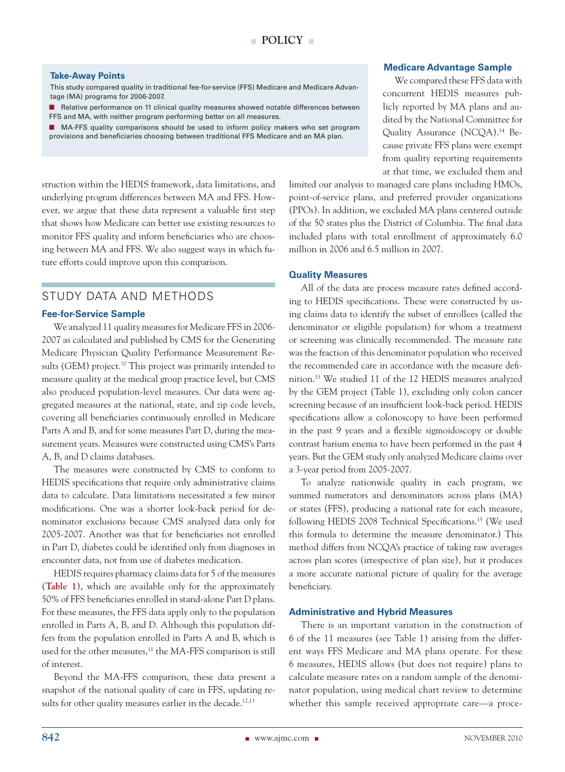#### **Take-Away Points**

This study compared quality in traditional fee-for-service (FFS) Medicare and Medicare Advantage (MA) programs for 2006-2007.

**n** Relative performance on 11 clinical quality measures showed notable differences between FFS and MA, with neither program performing better on all measures.

■ MA-FFS quality comparisons should be used to inform policy makers who set program provisions and beneficiaries choosing between traditional FFS Medicare and an MA plan.

struction within the HEDIS framework, data limitations, and underlying program differences between MA and FFS. However, we argue that these data represent a valuable first step that shows how Medicare can better use existing resources to monitor FFS quality and inform beneficiaries who are choosing between MA and FFS. We also suggest ways in which future efforts could improve upon this comparison.

# STUDY DATA AND METHODS

#### **Fee-for-Service Sample**

We analyzed 11 quality measures for Medicare FFS in 2006- 2007 as calculated and published by CMS for the Generating Medicare Physician Quality Performance Measurement Results (GEM) project.<sup>10</sup> This project was primarily intended to measure quality at the medical group practice level, but CMS also produced population-level measures. Our data were aggregated measures at the national, state, and zip code levels, covering all beneficiaries continuously enrolled in Medicare Parts A and B, and for some measures Part D, during the measurement years. Measures were constructed using CMS's Parts A, B, and D claims databases.

The measures were constructed by CMS to conform to HEDIS specifications that require only administrative claims data to calculate. Data limitations necessitated a few minor modifications. One was a shorter look-back period for denominator exclusions because CMS analyzed data only for 2005-2007. Another was that for beneficiaries not enrolled in Part D, diabetes could be identified only from diagnoses in encounter data, not from use of diabetes medication.

HEDIS requires pharmacy claims data for 5 of the measures (**Table 1**), which are available only for the approximately 50% of FFS beneficiaries enrolled in stand-alone Part D plans. For these measures, the FFS data apply only to the population enrolled in Parts A, B, and D. Although this population differs from the population enrolled in Parts A and B, which is used for the other measures,<sup>11</sup> the MA-FFS comparison is still of interest.

Beyond the MA-FFS comparison, these data present a snapshot of the national quality of care in FFS, updating results for other quality measures earlier in the decade.<sup>12,13</sup>

#### **Medicare Advantage Sample**

We compared these FFS data with concurrent HEDIS measures publicly reported by MA plans and audited by the National Committee for Quality Assurance (NCQA).<sup>14</sup> Because private FFS plans were exempt from quality reporting requirements at that time, we excluded them and

limited our analysis to managed care plans including HMOs, point-of-service plans, and preferred provider organizations (PPOs). In addition, we excluded MA plans centered outside of the 50 states plus the District of Columbia. The final data included plans with total enrollment of approximately 6.0 million in 2006 and 6.5 million in 2007.

#### **Quality Measures**

All of the data are process measure rates defined according to HEDIS specifications. These were constructed by using claims data to identify the subset of enrollees (called the denominator or eligible population) for whom a treatment or screening was clinically recommended. The measure rate was the fraction of this denominator population who received the recommended care in accordance with the measure definition.15 We studied 11 of the 12 HEDIS measures analyzed by the GEM project (Table 1), excluding only colon cancer screening because of an insufficient look-back period. HEDIS specifications allow a colonoscopy to have been performed in the past 9 years and a flexible sigmoidoscopy or double contrast barium enema to have been performed in the past 4 years. But the GEM study only analyzed Medicare claims over a 3-year period from 2005-2007.

To analyze nationwide quality in each program, we summed numerators and denominators across plans (MA) or states (FFS), producing a national rate for each measure, following HEDIS 2008 Technical Specifications.<sup>15</sup> (We used this formula to determine the measure denominator.) This method differs from NCQA's practice of taking raw averages across plan scores (irrespective of plan size), but it produces a more accurate national picture of quality for the average beneficiary.

#### **Administrative and Hybrid Measures**

There is an important variation in the construction of 6 of the 11 measures (see Table 1) arising from the different ways FFS Medicare and MA plans operate. For these 6 measures, HEDIS allows (but does not require) plans to calculate measure rates on a random sample of the denominator population, using medical chart review to determine whether this sample received appropriate care—a proce-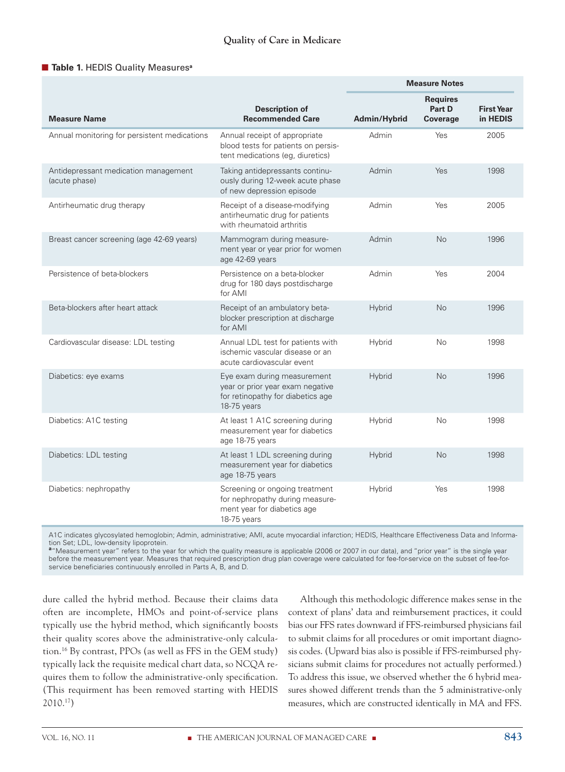## n **Table 1.** HEDIS Quality Measures**<sup>a</sup>**

|                                                       |                                                                                                                     | <b>Measure Notes</b> |                                       |                               |
|-------------------------------------------------------|---------------------------------------------------------------------------------------------------------------------|----------------------|---------------------------------------|-------------------------------|
| <b>Measure Name</b>                                   | Description of<br><b>Recommended Care</b>                                                                           | Admin/Hybrid         | <b>Requires</b><br>Part D<br>Coverage | <b>First Year</b><br>in HEDIS |
| Annual monitoring for persistent medications          | Annual receipt of appropriate<br>blood tests for patients on persis-<br>tent medications (eg, diuretics)            | Admin                | Yes                                   | 2005                          |
| Antidepressant medication management<br>(acute phase) | Taking antidepressants continu-<br>ously during 12-week acute phase<br>of new depression episode                    | Admin                | Yes                                   | 1998                          |
| Antirheumatic drug therapy                            | Receipt of a disease-modifying<br>antirheumatic drug for patients<br>with rheumatoid arthritis                      | Admin                | Yes                                   | 2005                          |
| Breast cancer screening (age 42-69 years)             | Mammogram during measure-<br>ment year or year prior for women<br>age 42-69 years                                   | Admin                | No                                    | 1996                          |
| Persistence of beta-blockers                          | Persistence on a beta-blocker<br>drug for 180 days postdischarge<br>for AMI                                         | Admin                | Yes                                   | 2004                          |
| Beta-blockers after heart attack                      | Receipt of an ambulatory beta-<br>blocker prescription at discharge<br>for AMI                                      | Hybrid               | <b>No</b>                             | 1996                          |
| Cardiovascular disease: LDL testing                   | Annual LDL test for patients with<br>ischemic vascular disease or an<br>acute cardiovascular event                  | Hybrid               | No                                    | 1998                          |
| Diabetics: eye exams                                  | Eye exam during measurement<br>year or prior year exam negative<br>for retinopathy for diabetics age<br>18-75 years | Hybrid               | <b>No</b>                             | 1996                          |
| Diabetics: A1C testing                                | At least 1 A1C screening during<br>measurement year for diabetics<br>age 18-75 years                                | Hybrid               | No                                    | 1998                          |
| Diabetics: LDL testing                                | At least 1 LDL screening during<br>measurement year for diabetics<br>age 18-75 years                                | Hybrid               | <b>No</b>                             | 1998                          |
| Diabetics: nephropathy                                | Screening or ongoing treatment<br>for nephropathy during measure-<br>ment year for diabetics age<br>18-75 years     | Hybrid               | Yes                                   | 1998                          |

A1C indicates glycosylated hemoglobin; Admin, administrative; AMI, acute myocardial infarction; HEDIS, Healthcare Effectiveness Data and Information Set; LDL, low-density lipoprotein.

**a** "Measurement year" refers to the year for which the quality measure is applicable (2006 or 2007 in our data), and "prior year" is the single year before the measurement year. Measures that required prescription drug plan coverage were calculated for fee-for-service on the subset of fee-forservice beneficiaries continuously enrolled in Parts A, B, and D.

dure called the hybrid method. Because their claims data often are incomplete, HMOs and point-of-service plans typically use the hybrid method, which significantly boosts their quality scores above the administrative-only calculation.16 By contrast, PPOs (as well as FFS in the GEM study) typically lack the requisite medical chart data, so NCQA requires them to follow the administrative-only specification. (This requirment has been removed starting with HEDIS 2010.17)

Although this methodologic difference makes sense in the context of plans' data and reimbursement practices, it could bias our FFS rates downward if FFS-reimbursed physicians fail to submit claims for all procedures or omit important diagnosis codes. (Upward bias also is possible if FFS-reimbursed physicians submit claims for procedures not actually performed.) To address this issue, we observed whether the 6 hybrid measures showed different trends than the 5 administrative-only measures, which are constructed identically in MA and FFS.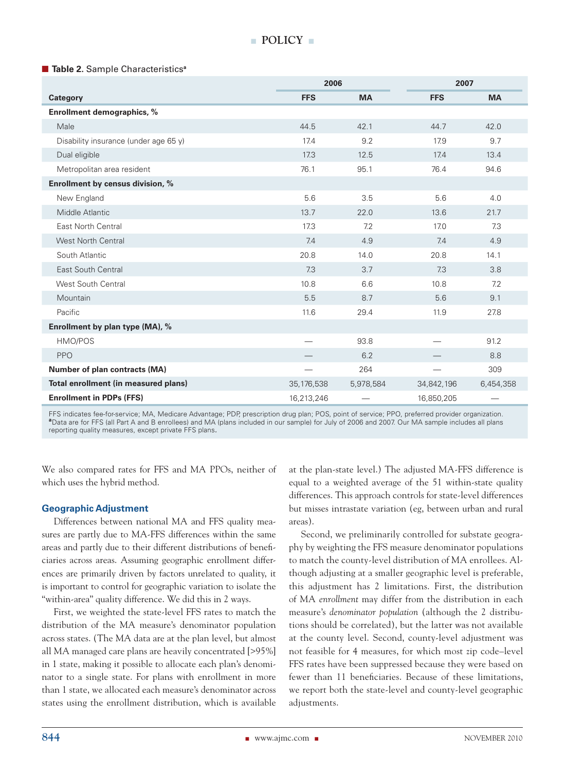■ **Table 2.** Sample Characteristics<sup>a</sup>

|                                       | 2006         |           | 2007       |           |  |
|---------------------------------------|--------------|-----------|------------|-----------|--|
| Category                              | <b>FFS</b>   | <b>MA</b> | <b>FFS</b> | <b>MA</b> |  |
| Enrollment demographics, %            |              |           |            |           |  |
| Male                                  | 44.5         | 42.1      | 44.7       | 42.0      |  |
| Disability insurance (under age 65 y) | 17.4         | 9.2       | 17.9       | 9.7       |  |
| Dual eligible                         | 17.3         | 12.5      | 17.4       | 13.4      |  |
| Metropolitan area resident            | 76.1         | 95.1      | 76.4       | 94.6      |  |
| Enrollment by census division, %      |              |           |            |           |  |
| New England                           | 5.6          | 3.5       | 5.6        | 4.0       |  |
| Middle Atlantic                       | 13.7         | 22.0      | 13.6       | 21.7      |  |
| East North Central                    | 17.3         | 7.2       | 17.0       | 7.3       |  |
| <b>West North Central</b>             | 7.4          | 4.9       | 7.4        | 4.9       |  |
| South Atlantic                        | 20.8         | 14.0      | 20.8       | 14.1      |  |
| <b>East South Central</b>             | 7.3          | 3.7       | 7.3        | 3.8       |  |
| <b>West South Central</b>             | 10.8         | 6.6       | 10.8       | 7.2       |  |
| Mountain                              | 5.5          | 8.7       | 5.6        | 9.1       |  |
| Pacific                               | 11.6         | 29.4      | 11.9       | 27.8      |  |
| Enrollment by plan type (MA), %       |              |           |            |           |  |
| HMO/POS                               |              | 93.8      |            | 91.2      |  |
| PPO                                   |              | 6.2       |            | 8.8       |  |
| Number of plan contracts (MA)         |              | 264       |            | 309       |  |
| Total enrollment (in measured plans)  | 35, 176, 538 | 5,978,584 | 34,842,196 | 6,454,358 |  |
| <b>Enrollment in PDPs (FFS)</b>       | 16,213,246   |           | 16,850,205 |           |  |

FFS indicates fee-for-service; MA, Medicare Advantage; PDP, prescription drug plan; POS, point of service; PPO, preferred provider organization. **<sup>a</sup>**Data are for FFS (all Part A and B enrollees) and MA (plans included in our sample) for July of 2006 and 2007. Our MA sample includes all plans reporting quality measures, except private FFS plans*.*

We also compared rates for FFS and MA PPOs, neither of which uses the hybrid method.

## **Geographic Adjustment**

Differences between national MA and FFS quality measures are partly due to MA-FFS differences within the same areas and partly due to their different distributions of beneficiaries across areas. Assuming geographic enrollment differences are primarily driven by factors unrelated to quality, it is important to control for geographic variation to isolate the "within-area" quality difference. We did this in 2 ways.

First, we weighted the state-level FFS rates to match the distribution of the MA measure's denominator population across states. (The MA data are at the plan level, but almost all MA managed care plans are heavily concentrated [>95%] in 1 state, making it possible to allocate each plan's denominator to a single state. For plans with enrollment in more than 1 state, we allocated each measure's denominator across states using the enrollment distribution, which is available

at the plan-state level.) The adjusted MA-FFS difference is equal to a weighted average of the 51 within-state quality differences. This approach controls for state-level differences but misses intrastate variation (eg, between urban and rural areas).

Second, we preliminarily controlled for substate geography by weighting the FFS measure denominator populations to match the county-level distribution of MA enrollees. Although adjusting at a smaller geographic level is preferable, this adjustment has 2 limitations. First, the distribution of MA *enrollment* may differ from the distribution in each measure's *denominator population* (although the 2 distributions should be correlated), but the latter was not available at the county level. Second, county-level adjustment was not feasible for 4 measures, for which most zip code–level FFS rates have been suppressed because they were based on fewer than 11 beneficiaries. Because of these limitations, we report both the state-level and county-level geographic adjustments.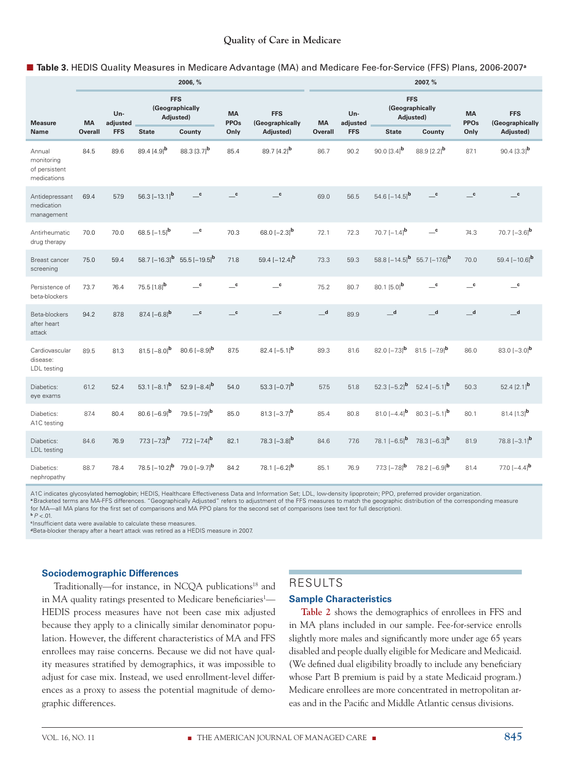## **Quality of Care in Medicare**

#### n **Table 3.** HEDIS Quality Measures in Medicare Advantage (MA) and Medicare Fee-for-Service (FFS) Plans, 2006-2007**<sup>a</sup>**

|                                                      | 2006, %   |                 |                                            |                                                         |                                        | 2007, %                                  |                |                  |                                                         |                                        |                            |                                        |
|------------------------------------------------------|-----------|-----------------|--------------------------------------------|---------------------------------------------------------|----------------------------------------|------------------------------------------|----------------|------------------|---------------------------------------------------------|----------------------------------------|----------------------------|----------------------------------------|
| <b>Measure</b>                                       | <b>MA</b> | Un-<br>adjusted | <b>FFS</b><br>(Geographically<br>Adjusted) |                                                         | <b>MA</b><br><b>PPOs</b>               | <b>FFS</b><br>(Geographically            | <b>MA</b>      | Un-<br>adjusted. | <b>FFS</b><br>(Geographically<br>Adjusted)              |                                        | <b>MA</b><br><b>PPOs</b>   | <b>FFS</b><br>(Geographically          |
| <b>Name</b>                                          | Overall   | <b>FFS</b>      | <b>State</b>                               | County                                                  | Only                                   | Adjusted)                                | <b>Overall</b> | <b>FFS</b>       | <b>State</b>                                            | County                                 | Only                       | Adjusted)                              |
| Annual<br>monitoring<br>of persistent<br>medications | 84.5      | 89.6            | 89.4 [4.9] <sup>b</sup>                    | 88.3 [3.7] <sup>b</sup>                                 | 85.4                                   | 89.7 $[4.2]$ <sup>b</sup>                | 86.7           | 90.2             | 90.0 $[3.4]$ <sup>b</sup>                               | 88.9 $[2.2]$ <sup>b</sup>              | 87.1                       | 90.4 $[3.3]$ <sup>b</sup>              |
| Antidepressant<br>medication<br>management           | 69.4      | 57.9            | 56.3 $[-13.1]$ <sup>b</sup>                | $\overline{\phantom{a}}^{\phantom{a}}$                  | $\mathbf{c}$                           | $\overline{\phantom{a}}^{\phantom{a}}$   | 69.0           | 56.5             | 54.6 $[-14.5]$ <sup>b</sup>                             | $\mathbf{c}$                           | $\overline{\phantom{a}}$ c | $\overline{\phantom{a}}^{\phantom{a}}$ |
| Antirheumatic<br>drug therapy                        | 70.0      | 70.0            | 68.5 $[-1.5]$ <sup>b</sup>                 | $\overline{\phantom{a}}^{\phantom{a}\mathbf{c}}$        | 70.3                                   | 68.0 $[-2.3]$ <sup>b</sup>               | 72.1           | 72.3             | 70.7 $[-1.4]$ <b>b</b>                                  | $\equiv$ c                             | 74.3                       | 70.7 $[-3.6]$ <sup>b</sup>             |
| Breast cancer<br>screening                           | 75.0      | 59.4            |                                            | 58.7 $[-16.3]$ <sup>b</sup> 55.5 $[-19.5]$ <sup>b</sup> | 71.8                                   | 59.4 $[-12.4]$ <sup>b</sup>              | 73.3           | 59.3             | 58.8 $[-14.5]$ <sup>b</sup> 55.7 $[-17.6]$ <sup>b</sup> |                                        | 70.0                       | 59.4 $[-10.6]$ <sup>b</sup>            |
| Persistence of<br>beta-blockers                      | 73.7      | 76.4            | 75.5 [1.8] <sup>b</sup>                    | $\overline{\phantom{a}}^{\phantom{a}}$ c                | $\overline{\phantom{a}}^{\phantom{a}}$ | $\overline{\phantom{a}}^{\phantom{a}}$ c | 75.2           | 80.7             | 80.1 [5.0] <sup>b</sup>                                 | $\overline{\phantom{a}}^{\phantom{a}}$ | $\equiv$ <sup>c</sup>      | $\mathbf{c}$                           |
| Beta-blockers<br>after heart<br>attack               | 94.2      | 87.8            | 87.4 $[-6.8]$ <sup>b</sup>                 | $\mathbf{c}$                                            | $\mathbf{c}$                           | $\mathbf{c}$                             | $\mathbf d$    | 89.9             | $\mathbf d$                                             | $\mathbf d$                            | $\mathbf d$                | $\mathbf d$                            |
| Cardiovascular<br>disease:<br>LDL testing            | 89.5      | 81.3            | $81.5[-8.0]^{b}$                           | $80.6[-8.9]$ <sup>b</sup>                               | 87.5                                   | 82.4 $[-5.1]$ <sup>b</sup>               | 89.3           | 81.6             | 82.0 $[-7.3]$ <sup>b</sup>                              | 81.5 $[-7.9]$ <sup>b</sup>             | 86.0                       | 83.0 $[-3.0]$ <sup>b</sup>             |
| Diabetics:<br>eye exams                              | 61.2      | 52.4            | 53.1 $[-8.1]$ <sup>b</sup>                 | 52.9 $[-8.4]$ <sup>b</sup>                              | 54.0                                   | 53.3 $[-0.7]$ <sup>b</sup>               | 57.5           | 51.8             | 52.3 $[-5.2]$ <sup>b</sup>                              | 52.4 $[-5.1]$ <sup>b</sup>             | 50.3                       | 52.4 $[2.1]$ <sup>b</sup>              |
| Diabetics:<br>A1C testing                            | 87.4      | 80.4            | 80.6 $[-6.9]$ <sup>b</sup>                 | 79.5 $[-7.9]$ <sup>b</sup>                              | 85.0                                   | 81.3 $[-3.7]$ <sup>b</sup>               | 85.4           | 80.8             | 81.0 $[-4.4]$ <sup>b</sup>                              | 80.3 $[-5.1]$ <sup>b</sup>             | 80.1                       | 81.4 $[1.3]$ <sup>b</sup>              |
| Diabetics:<br>LDL testing                            | 84.6      | 76.9            | 77.3 $[-7.3]$ <sup>b</sup>                 | 77.2 $[-7.4]$ <sup>b</sup>                              | 82.1                                   | 78.3 $[-3.8]$ <sup>b</sup>               | 84.6           | 77.6             | 78.1 $[-6.5]$ <sup>b</sup>                              | 78.3 $[-6.3]$ <sup>b</sup>             | 81.9                       | 78.8 $[-3.1]$ <sup>b</sup>             |
| Diabetics:<br>nephropathy                            | 88.7      | 78.4            | 78.5 $[-10.2]^{b}$ 79.0 $[-9.7]^{b}$       |                                                         | 84.2                                   | 78.1 $[-6.2]$ <sup>b</sup>               | 85.1           | 76.9             | 77.3 $[-7.8]$ <sup>b</sup>                              | 78.2 $[-6.9]$ <sup>b</sup>             | 81.4                       | 77.0 $[-4.4]$ <sup>b</sup>             |

A1C indicates glycosylated hemoglobin; HEDIS, Healthcare Effectiveness Data and Information Set; LDL, low-density lipoprotein; PPO, preferred provider organization.

**<sup>a</sup>**Bracketed terms are MA-FFS differences. "Geographically Adjusted" refers to adjustment of the FFS measures to match the geographic distribution of the corresponding measure for MA—all MA plans for the first set of comparisons and MA PPO plans for the second set of comparisons (see text for full description).

 $P$  <.01.

**<sup>c</sup>**Insufficient data were available to calculate these measures.

**d**Beta-blocker therapy after a heart attack was retired as a HEDIS measure in 2007.

# **Sociodemographic Differences**

Traditionally—for instance, in NCQA publications<sup>18</sup> and in MA quality ratings presented to Medicare beneficiaries<sup>1</sup>— HEDIS process measures have not been case mix adjusted because they apply to a clinically similar denominator population. However, the different characteristics of MA and FFS enrollees may raise concerns. Because we did not have quality measures stratified by demographics, it was impossible to adjust for case mix. Instead, we used enrollment-level differences as a proxy to assess the potential magnitude of demographic differences.

# RESULTS

#### **Sample Characteristics**

**Table 2** shows the demographics of enrollees in FFS and in MA plans included in our sample. Fee-for-service enrolls slightly more males and significantly more under age 65 years disabled and people dually eligible for Medicare and Medicaid. (We defined dual eligibility broadly to include any beneficiary whose Part B premium is paid by a state Medicaid program.) Medicare enrollees are more concentrated in metropolitan areas and in the Pacific and Middle Atlantic census divisions.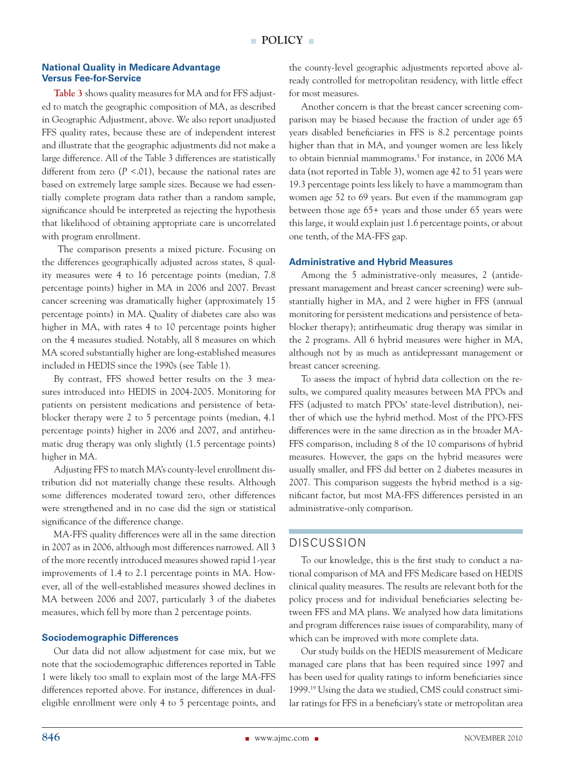#### **National Quality in Medicare Advantage Versus Fee-for-Service**

**Table 3** shows quality measures for MA and for FFS adjusted to match the geographic composition of MA, as described in Geographic Adjustment, above. We also report unadjusted FFS quality rates, because these are of independent interest and illustrate that the geographic adjustments did not make a large difference. All of the Table 3 differences are statistically different from zero  $(P < .01)$ , because the national rates are based on extremely large sample sizes. Because we had essentially complete program data rather than a random sample, significance should be interpreted as rejecting the hypothesis that likelihood of obtaining appropriate care is uncorrelated with program enrollment.

 The comparison presents a mixed picture. Focusing on the differences geographically adjusted across states, 8 quality measures were 4 to 16 percentage points (median, 7.8 percentage points) higher in MA in 2006 and 2007. Breast cancer screening was dramatically higher (approximately 15 percentage points) in MA. Quality of diabetes care also was higher in MA, with rates 4 to 10 percentage points higher on the 4 measures studied. Notably, all 8 measures on which MA scored substantially higher are long-established measures included in HEDIS since the 1990s (see Table 1).

By contrast, FFS showed better results on the 3 measures introduced into HEDIS in 2004-2005. Monitoring for patients on persistent medications and persistence of betablocker therapy were 2 to 5 percentage points (median, 4.1 percentage points) higher in 2006 and 2007, and antirheumatic drug therapy was only slightly (1.5 percentage points) higher in MA.

Adjusting FFS to match MA's county-level enrollment distribution did not materially change these results. Although some differences moderated toward zero, other differences were strengthened and in no case did the sign or statistical significance of the difference change.

MA-FFS quality differences were all in the same direction in 2007 as in 2006, although most differences narrowed. All 3 of the more recently introduced measures showed rapid 1-year improvements of 1.4 to 2.1 percentage points in MA. However, all of the well-established measures showed declines in MA between 2006 and 2007, particularly 3 of the diabetes measures, which fell by more than 2 percentage points.

## **Sociodemographic Differences**

Our data did not allow adjustment for case mix, but we note that the sociodemographic differences reported in Table 1 were likely too small to explain most of the large MA-FFS differences reported above. For instance, differences in dualeligible enrollment were only 4 to 5 percentage points, and

the county-level geographic adjustments reported above already controlled for metropolitan residency, with little effect for most measures.

Another concern is that the breast cancer screening comparison may be biased because the fraction of under age 65 years disabled beneficiaries in FFS is 8.2 percentage points higher than that in MA, and younger women are less likely to obtain biennial mammograms.<sup>5</sup> For instance, in 2006 MA data (not reported in Table 3), women age 42 to 51 years were 19.3 percentage points less likely to have a mammogram than women age 52 to 69 years. But even if the mammogram gap between those age 65+ years and those under 65 years were this large, it would explain just 1.6 percentage points, or about one tenth, of the MA-FFS gap.

## **Administrative and Hybrid Measures**

Among the 5 administrative-only measures, 2 (antidepressant management and breast cancer screening) were substantially higher in MA, and 2 were higher in FFS (annual monitoring for persistent medications and persistence of betablocker therapy); antirheumatic drug therapy was similar in the 2 programs. All 6 hybrid measures were higher in MA, although not by as much as antidepressant management or breast cancer screening.

To assess the impact of hybrid data collection on the results, we compared quality measures between MA PPOs and FFS (adjusted to match PPOs' state-level distribution), neither of which use the hybrid method. Most of the PPO-FFS differences were in the same direction as in the broader MA-FFS comparison, including 8 of the 10 comparisons of hybrid measures. However, the gaps on the hybrid measures were usually smaller, and FFS did better on 2 diabetes measures in 2007. This comparison suggests the hybrid method is a significant factor, but most MA-FFS differences persisted in an administrative-only comparison.

# DISCUSSION

To our knowledge, this is the first study to conduct a national comparison of MA and FFS Medicare based on HEDIS clinical quality measures. The results are relevant both for the policy process and for individual beneficiaries selecting between FFS and MA plans. We analyzed how data limitations and program differences raise issues of comparability, many of which can be improved with more complete data.

Our study builds on the HEDIS measurement of Medicare managed care plans that has been required since 1997 and has been used for quality ratings to inform beneficiaries since 1999.19 Using the data we studied, CMS could construct similar ratings for FFS in a beneficiary's state or metropolitan area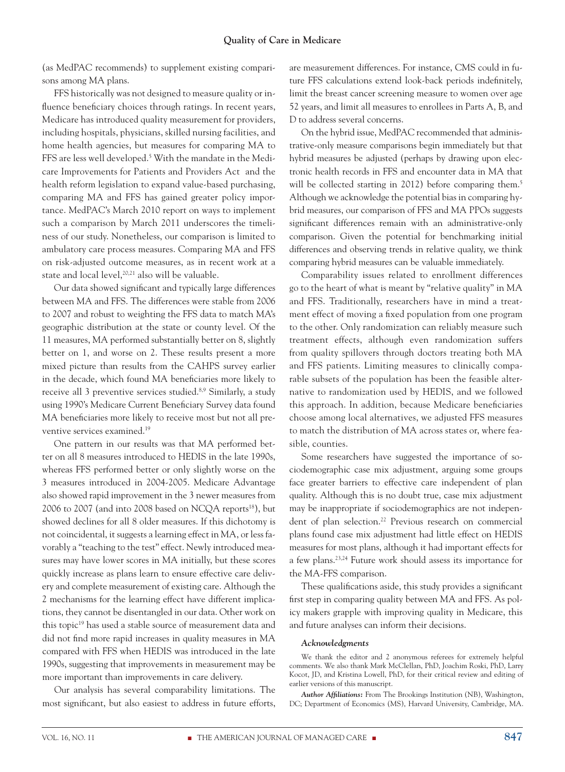(as MedPAC recommends) to supplement existing comparisons among MA plans.

FFS historically was not designed to measure quality or influence beneficiary choices through ratings. In recent years, Medicare has introduced quality measurement for providers, including hospitals, physicians, skilled nursing facilities, and home health agencies, but measures for comparing MA to FFS are less well developed.<sup>5</sup> With the mandate in the Medicare Improvements for Patients and Providers Act and the health reform legislation to expand value-based purchasing, comparing MA and FFS has gained greater policy importance. MedPAC's March 2010 report on ways to implement such a comparison by March 2011 underscores the timeliness of our study. Nonetheless, our comparison is limited to ambulatory care process measures. Comparing MA and FFS on risk-adjusted outcome measures, as in recent work at a state and local level,<sup>20,21</sup> also will be valuable.

Our data showed significant and typically large differences between MA and FFS. The differences were stable from 2006 to 2007 and robust to weighting the FFS data to match MA's geographic distribution at the state or county level. Of the 11 measures, MA performed substantially better on 8, slightly better on 1, and worse on 2. These results present a more mixed picture than results from the CAHPS survey earlier in the decade, which found MA beneficiaries more likely to receive all 3 preventive services studied.8,9 Similarly, a study using 1990's Medicare Current Beneficiary Survey data found MA beneficiaries more likely to receive most but not all preventive services examined.19

One pattern in our results was that MA performed better on all 8 measures introduced to HEDIS in the late 1990s, whereas FFS performed better or only slightly worse on the 3 measures introduced in 2004-2005. Medicare Advantage also showed rapid improvement in the 3 newer measures from 2006 to 2007 (and into 2008 based on NCQA reports<sup>18</sup>), but showed declines for all 8 older measures. If this dichotomy is not coincidental, it suggests a learning effect in MA, or less favorably a "teaching to the test" effect. Newly introduced measures may have lower scores in MA initially, but these scores quickly increase as plans learn to ensure effective care delivery and complete measurement of existing care. Although the 2 mechanisms for the learning effect have different implications, they cannot be disentangled in our data. Other work on this topic<sup>19</sup> has used a stable source of measurement data and did not find more rapid increases in quality measures in MA compared with FFS when HEDIS was introduced in the late 1990s, suggesting that improvements in measurement may be more important than improvements in care delivery.

Our analysis has several comparability limitations. The most significant, but also easiest to address in future efforts,

are measurement differences. For instance, CMS could in future FFS calculations extend look-back periods indefinitely, limit the breast cancer screening measure to women over age 52 years, and limit all measures to enrollees in Parts A, B, and D to address several concerns.

On the hybrid issue, MedPAC recommended that administrative-only measure comparisons begin immediately but that hybrid measures be adjusted (perhaps by drawing upon electronic health records in FFS and encounter data in MA that will be collected starting in 2012) before comparing them.<sup>5</sup> Although we acknowledge the potential bias in comparing hybrid measures, our comparison of FFS and MA PPOs suggests significant differences remain with an administrative-only comparison. Given the potential for benchmarking initial differences and observing trends in relative quality, we think comparing hybrid measures can be valuable immediately.

Comparability issues related to enrollment differences go to the heart of what is meant by "relative quality" in MA and FFS. Traditionally, researchers have in mind a treatment effect of moving a fixed population from one program to the other. Only randomization can reliably measure such treatment effects, although even randomization suffers from quality spillovers through doctors treating both MA and FFS patients. Limiting measures to clinically comparable subsets of the population has been the feasible alternative to randomization used by HEDIS, and we followed this approach. In addition, because Medicare beneficiaries choose among local alternatives, we adjusted FFS measures to match the distribution of MA across states or, where feasible, counties.

Some researchers have suggested the importance of sociodemographic case mix adjustment, arguing some groups face greater barriers to effective care independent of plan quality. Although this is no doubt true, case mix adjustment may be inappropriate if sociodemographics are not independent of plan selection.<sup>22</sup> Previous research on commercial plans found case mix adjustment had little effect on HEDIS measures for most plans, although it had important effects for a few plans.23,24 Future work should assess its importance for the MA-FFS comparison.

These qualifications aside, this study provides a significant first step in comparing quality between MA and FFS. As policy makers grapple with improving quality in Medicare, this and future analyses can inform their decisions.

#### *Acknowledgments*

We thank the editor and 2 anonymous referees for extremely helpful comments. We also thank Mark McClellan, PhD, Joachim Roski, PhD, Larry Kocot, JD, and Kristina Lowell, PhD, for their critical review and editing of earlier versions of this manuscript.

*Author Affiliations:* From The Brookings Institution (NB), Washington, DC; Department of Economics (MS), Harvard University, Cambridge, MA.